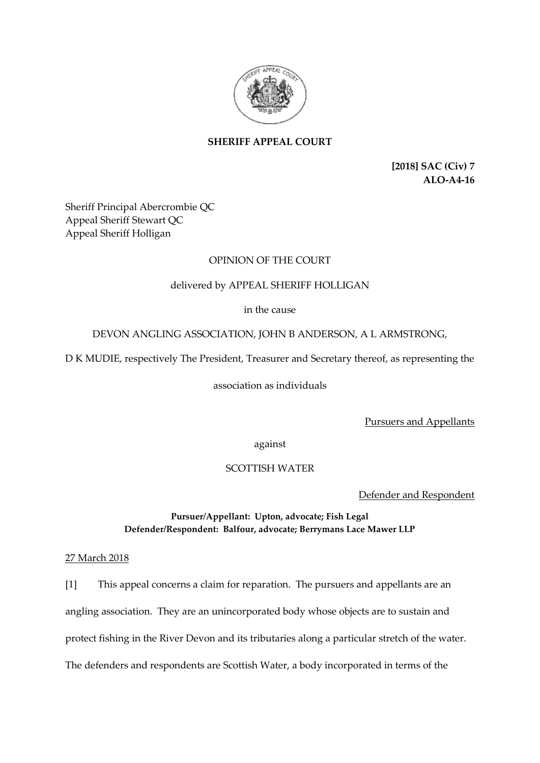

# **SHERIFF APPEAL COURT**

**[2018] SAC (Civ) 7 ALO-A4-16**

Sheriff Principal Abercrombie QC Appeal Sheriff Stewart QC Appeal Sheriff Holligan

## OPINION OF THE COURT

# delivered by APPEAL SHERIFF HOLLIGAN

in the cause

## DEVON ANGLING ASSOCIATION, JOHN B ANDERSON, A L ARMSTRONG,

D K MUDIE, respectively The President, Treasurer and Secretary thereof, as representing the

association as individuals

Pursuers and Appellants

against

## SCOTTISH WATER

Defender and Respondent

## **Pursuer/Appellant: Upton, advocate; Fish Legal Defender/Respondent: Balfour, advocate; Berrymans Lace Mawer LLP**

## 27 March 2018

[1] This appeal concerns a claim for reparation. The pursuers and appellants are an angling association. They are an unincorporated body whose objects are to sustain and protect fishing in the River Devon and its tributaries along a particular stretch of the water. The defenders and respondents are Scottish Water, a body incorporated in terms of the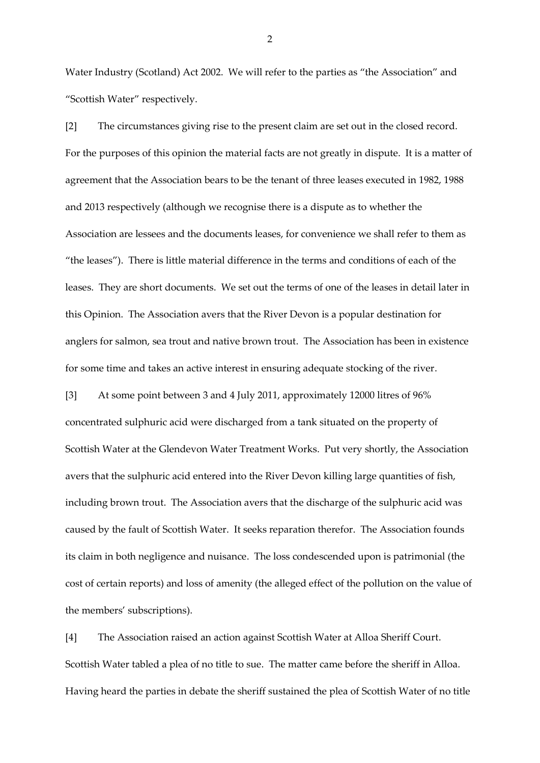Water Industry (Scotland) Act 2002. We will refer to the parties as "the Association" and "Scottish Water" respectively.

[2] The circumstances giving rise to the present claim are set out in the closed record. For the purposes of this opinion the material facts are not greatly in dispute. It is a matter of agreement that the Association bears to be the tenant of three leases executed in 1982, 1988 and 2013 respectively (although we recognise there is a dispute as to whether the Association are lessees and the documents leases, for convenience we shall refer to them as "the leases"). There is little material difference in the terms and conditions of each of the leases. They are short documents. We set out the terms of one of the leases in detail later in this Opinion. The Association avers that the River Devon is a popular destination for anglers for salmon, sea trout and native brown trout. The Association has been in existence for some time and takes an active interest in ensuring adequate stocking of the river.

[3] At some point between 3 and 4 July 2011, approximately 12000 litres of 96% concentrated sulphuric acid were discharged from a tank situated on the property of Scottish Water at the Glendevon Water Treatment Works. Put very shortly, the Association avers that the sulphuric acid entered into the River Devon killing large quantities of fish, including brown trout. The Association avers that the discharge of the sulphuric acid was caused by the fault of Scottish Water. It seeks reparation therefor. The Association founds its claim in both negligence and nuisance. The loss condescended upon is patrimonial (the cost of certain reports) and loss of amenity (the alleged effect of the pollution on the value of the members' subscriptions).

[4] The Association raised an action against Scottish Water at Alloa Sheriff Court. Scottish Water tabled a plea of no title to sue. The matter came before the sheriff in Alloa. Having heard the parties in debate the sheriff sustained the plea of Scottish Water of no title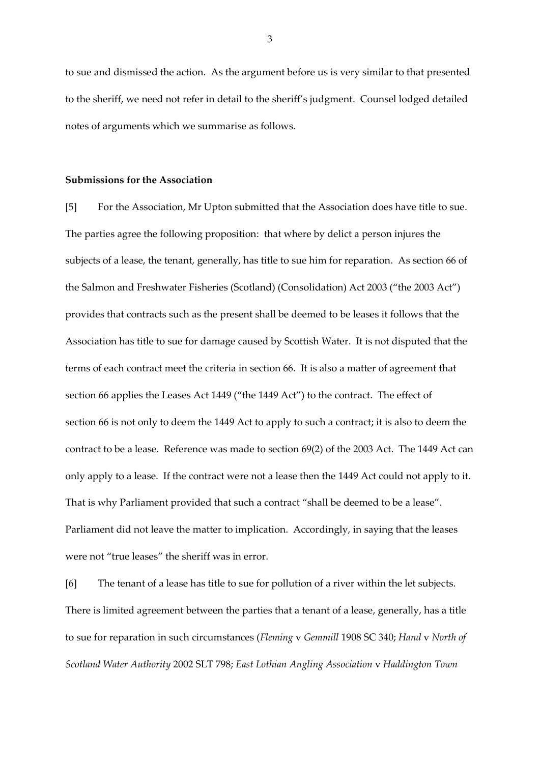to sue and dismissed the action. As the argument before us is very similar to that presented to the sheriff, we need not refer in detail to the sheriff's judgment. Counsel lodged detailed notes of arguments which we summarise as follows.

#### **Submissions for the Association**

[5] For the Association, Mr Upton submitted that the Association does have title to sue. The parties agree the following proposition: that where by delict a person injures the subjects of a lease, the tenant, generally, has title to sue him for reparation. As section 66 of the Salmon and Freshwater Fisheries (Scotland) (Consolidation) Act 2003 ("the 2003 Act") provides that contracts such as the present shall be deemed to be leases it follows that the Association has title to sue for damage caused by Scottish Water. It is not disputed that the terms of each contract meet the criteria in section 66. It is also a matter of agreement that section 66 applies the Leases Act 1449 ("the 1449 Act") to the contract. The effect of section 66 is not only to deem the 1449 Act to apply to such a contract; it is also to deem the contract to be a lease. Reference was made to section 69(2) of the 2003 Act. The 1449 Act can only apply to a lease. If the contract were not a lease then the 1449 Act could not apply to it. That is why Parliament provided that such a contract "shall be deemed to be a lease". Parliament did not leave the matter to implication. Accordingly, in saying that the leases were not "true leases" the sheriff was in error.

[6] The tenant of a lease has title to sue for pollution of a river within the let subjects. There is limited agreement between the parties that a tenant of a lease, generally, has a title to sue for reparation in such circumstances (*Fleming* v *Gemmill* 1908 SC 340; *Hand* v *North of Scotland Water Authority* 2002 SLT 798; *East Lothian Angling Association* v *Haddington Town*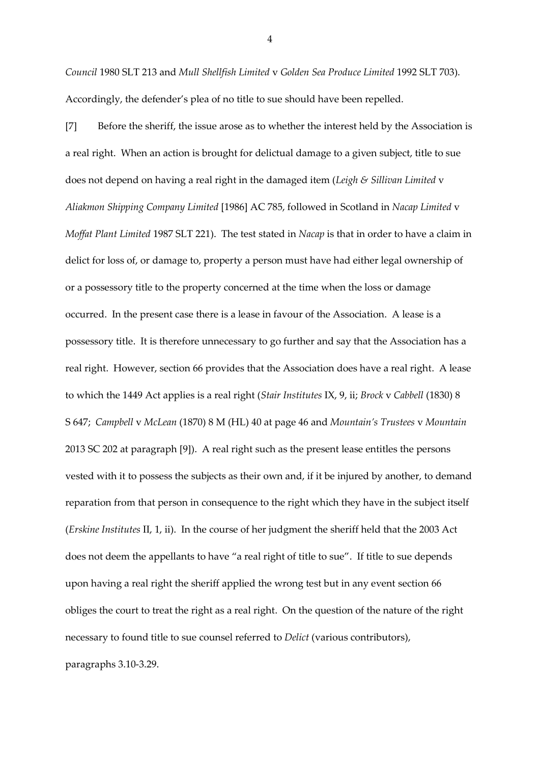*Council* 1980 SLT 213 and *Mull Shellfish Limited* v *Golden Sea Produce Limited* 1992 SLT 703). Accordingly, the defender's plea of no title to sue should have been repelled.

[7] Before the sheriff, the issue arose as to whether the interest held by the Association is a real right. When an action is brought for delictual damage to a given subject, title to sue does not depend on having a real right in the damaged item (*Leigh & Sillivan Limited* v *Aliakmon Shipping Company Limited* [1986] AC 785, followed in Scotland in *Nacap Limited* v *Moffat Plant Limited* 1987 SLT 221). The test stated in *Nacap* is that in order to have a claim in delict for loss of, or damage to, property a person must have had either legal ownership of or a possessory title to the property concerned at the time when the loss or damage occurred. In the present case there is a lease in favour of the Association. A lease is a possessory title. It is therefore unnecessary to go further and say that the Association has a real right. However, section 66 provides that the Association does have a real right. A lease to which the 1449 Act applies is a real right (*Stair Institutes* IX, 9, ii; *Brock* v *Cabbell* (1830) 8 S 647; *Campbell* v *McLean* (1870) 8 M (HL) 40 at page 46 and *Mountain's Trustees* v *Mountain* 2013 SC 202 at paragraph [9]). A real right such as the present lease entitles the persons vested with it to possess the subjects as their own and, if it be injured by another, to demand reparation from that person in consequence to the right which they have in the subject itself (*Erskine Institutes* II, 1, ii). In the course of her judgment the sheriff held that the 2003 Act does not deem the appellants to have "a real right of title to sue". If title to sue depends upon having a real right the sheriff applied the wrong test but in any event section 66 obliges the court to treat the right as a real right. On the question of the nature of the right necessary to found title to sue counsel referred to *Delict* (various contributors), paragraphs 3.10-3.29.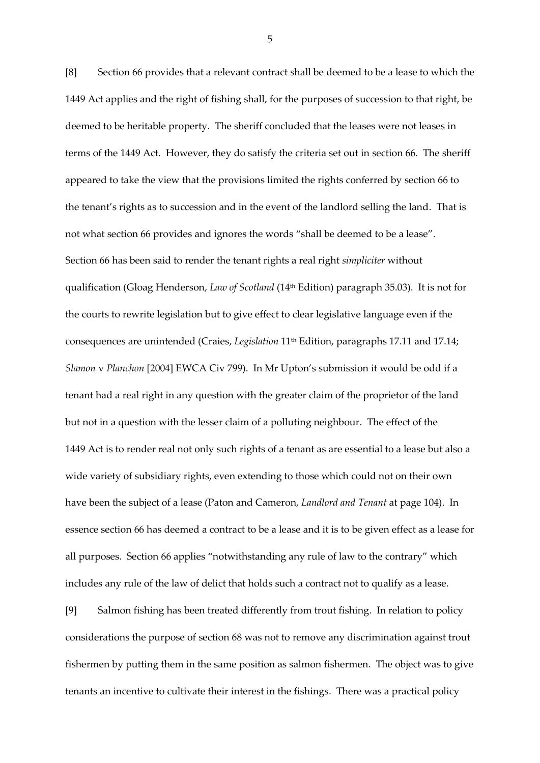[8] Section 66 provides that a relevant contract shall be deemed to be a lease to which the 1449 Act applies and the right of fishing shall, for the purposes of succession to that right, be deemed to be heritable property. The sheriff concluded that the leases were not leases in terms of the 1449 Act. However, they do satisfy the criteria set out in section 66. The sheriff appeared to take the view that the provisions limited the rights conferred by section 66 to the tenant's rights as to succession and in the event of the landlord selling the land. That is not what section 66 provides and ignores the words "shall be deemed to be a lease". Section 66 has been said to render the tenant rights a real right *simpliciter* without qualification (Gloag Henderson, *Law of Scotland* (14th Edition) paragraph 35.03). It is not for the courts to rewrite legislation but to give effect to clear legislative language even if the consequences are unintended (Craies, *Legislation* 11th Edition, paragraphs 17.11 and 17.14; *Slamon* v *Planchon* [2004] EWCA Civ 799). In Mr Upton's submission it would be odd if a tenant had a real right in any question with the greater claim of the proprietor of the land but not in a question with the lesser claim of a polluting neighbour. The effect of the 1449 Act is to render real not only such rights of a tenant as are essential to a lease but also a wide variety of subsidiary rights, even extending to those which could not on their own have been the subject of a lease (Paton and Cameron, *Landlord and Tenant* at page 104). In essence section 66 has deemed a contract to be a lease and it is to be given effect as a lease for all purposes. Section 66 applies "notwithstanding any rule of law to the contrary" which includes any rule of the law of delict that holds such a contract not to qualify as a lease.

[9] Salmon fishing has been treated differently from trout fishing. In relation to policy considerations the purpose of section 68 was not to remove any discrimination against trout fishermen by putting them in the same position as salmon fishermen. The object was to give tenants an incentive to cultivate their interest in the fishings. There was a practical policy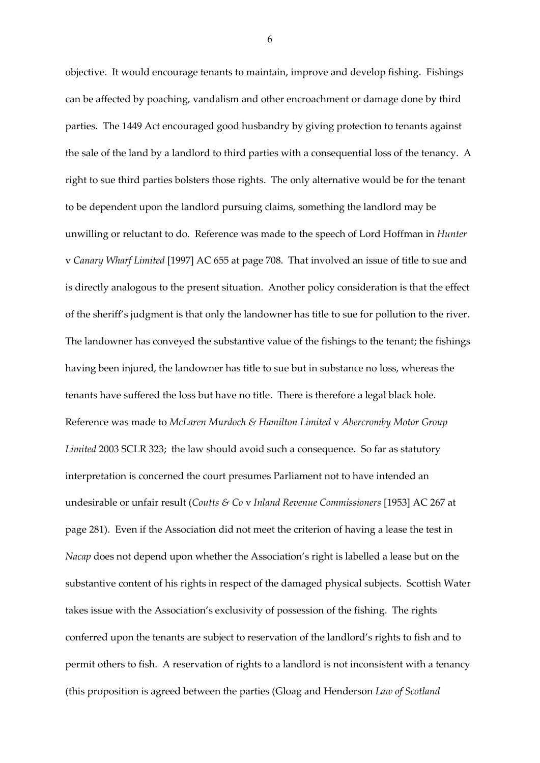objective. It would encourage tenants to maintain, improve and develop fishing. Fishings can be affected by poaching, vandalism and other encroachment or damage done by third parties. The 1449 Act encouraged good husbandry by giving protection to tenants against the sale of the land by a landlord to third parties with a consequential loss of the tenancy. A right to sue third parties bolsters those rights. The only alternative would be for the tenant to be dependent upon the landlord pursuing claims, something the landlord may be unwilling or reluctant to do. Reference was made to the speech of Lord Hoffman in *Hunter* v *Canary Wharf Limited* [1997] AC 655 at page 708. That involved an issue of title to sue and is directly analogous to the present situation. Another policy consideration is that the effect of the sheriff's judgment is that only the landowner has title to sue for pollution to the river. The landowner has conveyed the substantive value of the fishings to the tenant; the fishings having been injured, the landowner has title to sue but in substance no loss, whereas the tenants have suffered the loss but have no title. There is therefore a legal black hole. Reference was made to *McLaren Murdoch & Hamilton Limited* v *Abercromby Motor Group Limited* 2003 SCLR 323; the law should avoid such a consequence. So far as statutory interpretation is concerned the court presumes Parliament not to have intended an undesirable or unfair result (*Coutts & Co* v *Inland Revenue Commissioners* [1953] AC 267 at page 281). Even if the Association did not meet the criterion of having a lease the test in *Nacap* does not depend upon whether the Association's right is labelled a lease but on the substantive content of his rights in respect of the damaged physical subjects. Scottish Water takes issue with the Association's exclusivity of possession of the fishing. The rights conferred upon the tenants are subject to reservation of the landlord's rights to fish and to permit others to fish. A reservation of rights to a landlord is not inconsistent with a tenancy (this proposition is agreed between the parties (Gloag and Henderson *Law of Scotland*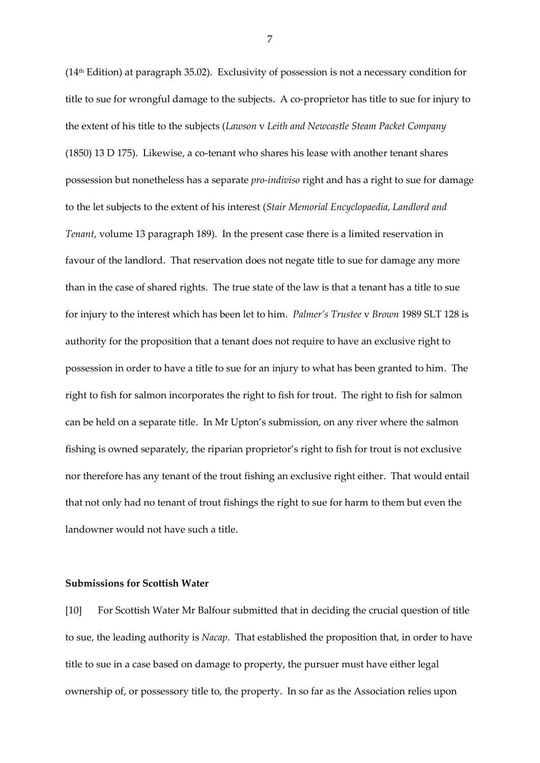(14 th Edition) at paragraph 35.02). Exclusivity of possession is not a necessary condition for title to sue for wrongful damage to the subjects. A co-proprietor has title to sue for injury to the extent of his title to the subjects (*Lawson* v *Leith and Newcastle Steam Packet Company* (1850) 13 D 175). Likewise, a co-tenant who shares his lease with another tenant shares possession but nonetheless has a separate *pro-indiviso* right and has a right to sue for damage to the let subjects to the extent of his interest (*Stair Memorial Encyclopaedia, Landlord and Tenant*, volume 13 paragraph 189). In the present case there is a limited reservation in favour of the landlord. That reservation does not negate title to sue for damage any more than in the case of shared rights. The true state of the law is that a tenant has a title to sue for injury to the interest which has been let to him. *Palmer's Trustee* v *Brown* 1989 SLT 128 is authority for the proposition that a tenant does not require to have an exclusive right to possession in order to have a title to sue for an injury to what has been granted to him. The right to fish for salmon incorporates the right to fish for trout. The right to fish for salmon can be held on a separate title. In Mr Upton's submission, on any river where the salmon fishing is owned separately, the riparian proprietor's right to fish for trout is not exclusive nor therefore has any tenant of the trout fishing an exclusive right either. That would entail that not only had no tenant of trout fishings the right to sue for harm to them but even the landowner would not have such a title.

#### **Submissions for Scottish Water**

[10] For Scottish Water Mr Balfour submitted that in deciding the crucial question of title to sue, the leading authority is *Nacap*. That established the proposition that, in order to have title to sue in a case based on damage to property, the pursuer must have either legal ownership of, or possessory title to, the property. In so far as the Association relies upon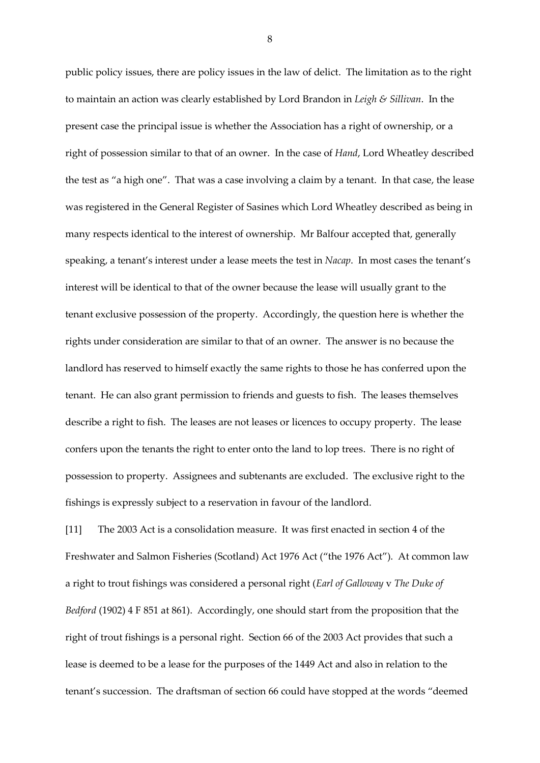public policy issues, there are policy issues in the law of delict. The limitation as to the right to maintain an action was clearly established by Lord Brandon in *Leigh & Sillivan*. In the present case the principal issue is whether the Association has a right of ownership, or a right of possession similar to that of an owner. In the case of *Hand*, Lord Wheatley described the test as "a high one". That was a case involving a claim by a tenant. In that case, the lease was registered in the General Register of Sasines which Lord Wheatley described as being in many respects identical to the interest of ownership. Mr Balfour accepted that, generally speaking, a tenant's interest under a lease meets the test in *Nacap*. In most cases the tenant's interest will be identical to that of the owner because the lease will usually grant to the tenant exclusive possession of the property. Accordingly, the question here is whether the rights under consideration are similar to that of an owner. The answer is no because the landlord has reserved to himself exactly the same rights to those he has conferred upon the tenant. He can also grant permission to friends and guests to fish. The leases themselves describe a right to fish. The leases are not leases or licences to occupy property. The lease confers upon the tenants the right to enter onto the land to lop trees. There is no right of possession to property. Assignees and subtenants are excluded. The exclusive right to the fishings is expressly subject to a reservation in favour of the landlord.

[11] The 2003 Act is a consolidation measure. It was first enacted in section 4 of the Freshwater and Salmon Fisheries (Scotland) Act 1976 Act ("the 1976 Act"). At common law a right to trout fishings was considered a personal right (*Earl of Galloway* v *The Duke of Bedford* (1902) 4 F 851 at 861). Accordingly, one should start from the proposition that the right of trout fishings is a personal right. Section 66 of the 2003 Act provides that such a lease is deemed to be a lease for the purposes of the 1449 Act and also in relation to the tenant's succession. The draftsman of section 66 could have stopped at the words "deemed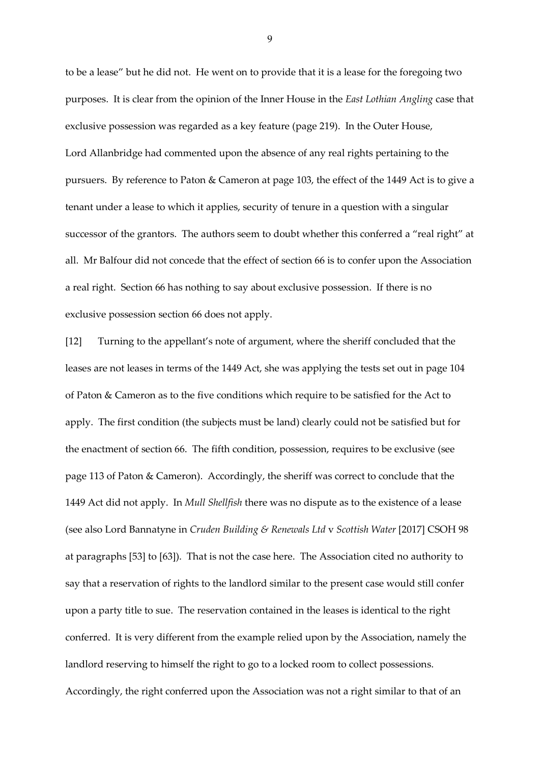to be a lease" but he did not. He went on to provide that it is a lease for the foregoing two purposes. It is clear from the opinion of the Inner House in the *East Lothian Angling* case that exclusive possession was regarded as a key feature (page 219). In the Outer House, Lord Allanbridge had commented upon the absence of any real rights pertaining to the pursuers. By reference to Paton & Cameron at page 103, the effect of the 1449 Act is to give a tenant under a lease to which it applies, security of tenure in a question with a singular successor of the grantors. The authors seem to doubt whether this conferred a "real right" at all. Mr Balfour did not concede that the effect of section 66 is to confer upon the Association a real right. Section 66 has nothing to say about exclusive possession. If there is no exclusive possession section 66 does not apply.

[12] Turning to the appellant's note of argument, where the sheriff concluded that the leases are not leases in terms of the 1449 Act, she was applying the tests set out in page 104 of Paton & Cameron as to the five conditions which require to be satisfied for the Act to apply. The first condition (the subjects must be land) clearly could not be satisfied but for the enactment of section 66. The fifth condition, possession, requires to be exclusive (see page 113 of Paton & Cameron). Accordingly, the sheriff was correct to conclude that the 1449 Act did not apply. In *Mull Shellfish* there was no dispute as to the existence of a lease (see also Lord Bannatyne in *Cruden Building & Renewals Ltd* v *Scottish Water* [2017] CSOH 98 at paragraphs [53] to [63]). That is not the case here. The Association cited no authority to say that a reservation of rights to the landlord similar to the present case would still confer upon a party title to sue. The reservation contained in the leases is identical to the right conferred. It is very different from the example relied upon by the Association, namely the landlord reserving to himself the right to go to a locked room to collect possessions. Accordingly, the right conferred upon the Association was not a right similar to that of an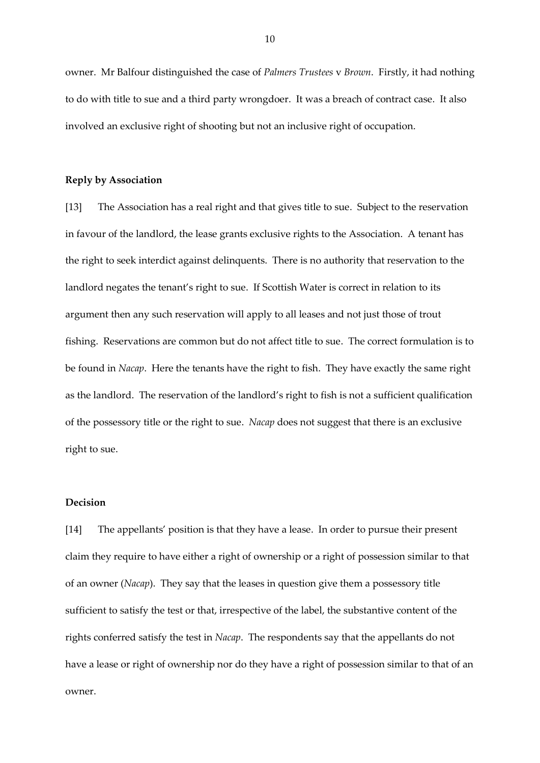owner. Mr Balfour distinguished the case of *Palmers Trustees* v *Brown*. Firstly, it had nothing to do with title to sue and a third party wrongdoer. It was a breach of contract case. It also involved an exclusive right of shooting but not an inclusive right of occupation.

#### **Reply by Association**

[13] The Association has a real right and that gives title to sue. Subject to the reservation in favour of the landlord, the lease grants exclusive rights to the Association. A tenant has the right to seek interdict against delinquents. There is no authority that reservation to the landlord negates the tenant's right to sue. If Scottish Water is correct in relation to its argument then any such reservation will apply to all leases and not just those of trout fishing. Reservations are common but do not affect title to sue. The correct formulation is to be found in *Nacap*. Here the tenants have the right to fish. They have exactly the same right as the landlord. The reservation of the landlord's right to fish is not a sufficient qualification of the possessory title or the right to sue. *Nacap* does not suggest that there is an exclusive right to sue.

## **Decision**

[14] The appellants' position is that they have a lease. In order to pursue their present claim they require to have either a right of ownership or a right of possession similar to that of an owner (*Nacap*). They say that the leases in question give them a possessory title sufficient to satisfy the test or that, irrespective of the label, the substantive content of the rights conferred satisfy the test in *Nacap*. The respondents say that the appellants do not have a lease or right of ownership nor do they have a right of possession similar to that of an owner.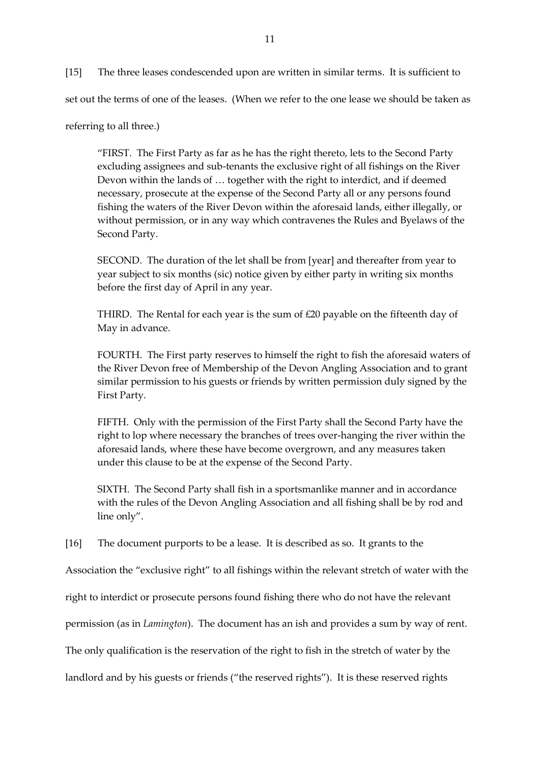[15] The three leases condescended upon are written in similar terms. It is sufficient to set out the terms of one of the leases. (When we refer to the one lease we should be taken as

referring to all three.)

"FIRST. The First Party as far as he has the right thereto, lets to the Second Party excluding assignees and sub-tenants the exclusive right of all fishings on the River Devon within the lands of … together with the right to interdict, and if deemed necessary, prosecute at the expense of the Second Party all or any persons found fishing the waters of the River Devon within the aforesaid lands, either illegally, or without permission, or in any way which contravenes the Rules and Byelaws of the Second Party.

SECOND. The duration of the let shall be from [year] and thereafter from year to year subject to six months (sic) notice given by either party in writing six months before the first day of April in any year.

THIRD. The Rental for each year is the sum of  $£20$  payable on the fifteenth day of May in advance.

FOURTH. The First party reserves to himself the right to fish the aforesaid waters of the River Devon free of Membership of the Devon Angling Association and to grant similar permission to his guests or friends by written permission duly signed by the First Party.

FIFTH. Only with the permission of the First Party shall the Second Party have the right to lop where necessary the branches of trees over-hanging the river within the aforesaid lands, where these have become overgrown, and any measures taken under this clause to be at the expense of the Second Party.

SIXTH. The Second Party shall fish in a sportsmanlike manner and in accordance with the rules of the Devon Angling Association and all fishing shall be by rod and line only".

[16] The document purports to be a lease. It is described as so. It grants to the

Association the "exclusive right" to all fishings within the relevant stretch of water with the

right to interdict or prosecute persons found fishing there who do not have the relevant

permission (as in *Lamington*). The document has an ish and provides a sum by way of rent.

The only qualification is the reservation of the right to fish in the stretch of water by the

landlord and by his guests or friends ("the reserved rights"). It is these reserved rights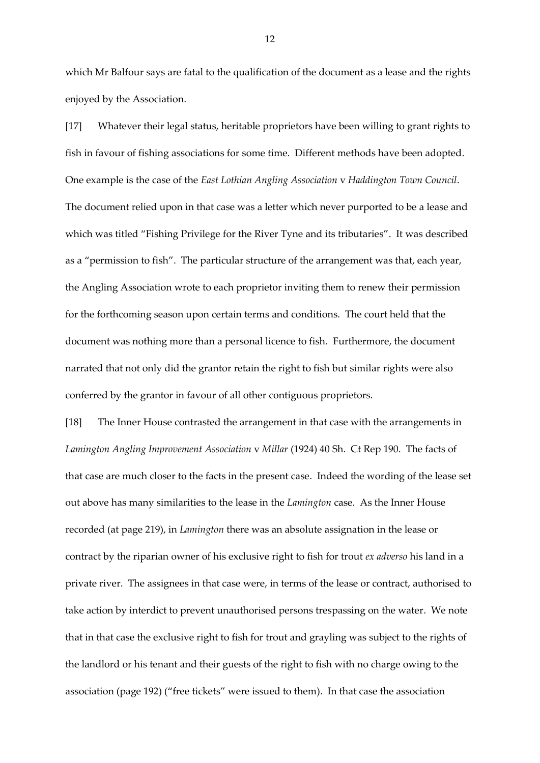which Mr Balfour says are fatal to the qualification of the document as a lease and the rights enjoyed by the Association.

[17] Whatever their legal status, heritable proprietors have been willing to grant rights to fish in favour of fishing associations for some time. Different methods have been adopted. One example is the case of the *East Lothian Angling Association* v *Haddington Town Council*. The document relied upon in that case was a letter which never purported to be a lease and which was titled "Fishing Privilege for the River Tyne and its tributaries". It was described as a "permission to fish". The particular structure of the arrangement was that, each year, the Angling Association wrote to each proprietor inviting them to renew their permission for the forthcoming season upon certain terms and conditions. The court held that the document was nothing more than a personal licence to fish. Furthermore, the document narrated that not only did the grantor retain the right to fish but similar rights were also conferred by the grantor in favour of all other contiguous proprietors.

[18] The Inner House contrasted the arrangement in that case with the arrangements in *Lamington Angling Improvement Association* v *Millar* (1924) 40 Sh. Ct Rep 190. The facts of that case are much closer to the facts in the present case. Indeed the wording of the lease set out above has many similarities to the lease in the *Lamington* case. As the Inner House recorded (at page 219), in *Lamington* there was an absolute assignation in the lease or contract by the riparian owner of his exclusive right to fish for trout *ex adverso* his land in a private river. The assignees in that case were, in terms of the lease or contract, authorised to take action by interdict to prevent unauthorised persons trespassing on the water. We note that in that case the exclusive right to fish for trout and grayling was subject to the rights of the landlord or his tenant and their guests of the right to fish with no charge owing to the association (page 192) ("free tickets" were issued to them). In that case the association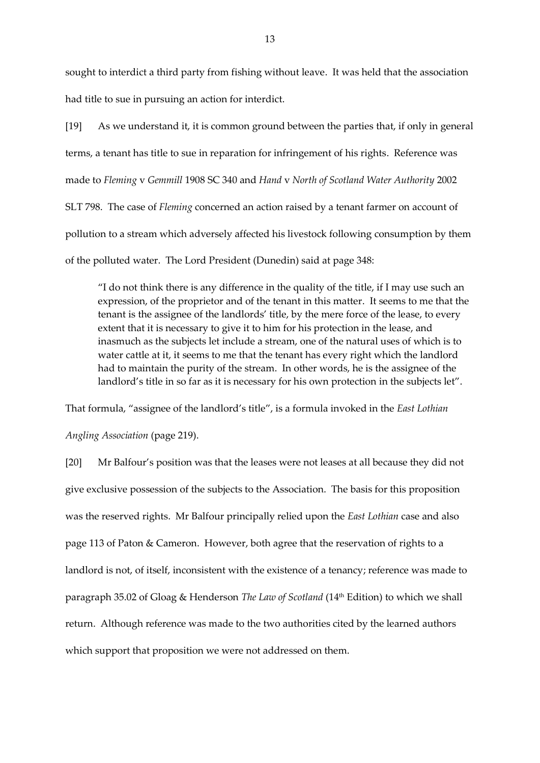sought to interdict a third party from fishing without leave. It was held that the association had title to sue in pursuing an action for interdict.

[19] As we understand it, it is common ground between the parties that, if only in general terms, a tenant has title to sue in reparation for infringement of his rights. Reference was made to *Fleming* v *Gemmill* 1908 SC 340 and *Hand* v *North of Scotland Water Authority* 2002 SLT 798. The case of *Fleming* concerned an action raised by a tenant farmer on account of pollution to a stream which adversely affected his livestock following consumption by them of the polluted water. The Lord President (Dunedin) said at page 348:

"I do not think there is any difference in the quality of the title, if I may use such an expression, of the proprietor and of the tenant in this matter. It seems to me that the tenant is the assignee of the landlords' title, by the mere force of the lease, to every extent that it is necessary to give it to him for his protection in the lease, and inasmuch as the subjects let include a stream, one of the natural uses of which is to water cattle at it, it seems to me that the tenant has every right which the landlord had to maintain the purity of the stream. In other words, he is the assignee of the landlord's title in so far as it is necessary for his own protection in the subjects let".

That formula, "assignee of the landlord's title", is a formula invoked in the *East Lothian* 

*Angling Association* (page 219).

[20] Mr Balfour's position was that the leases were not leases at all because they did not give exclusive possession of the subjects to the Association. The basis for this proposition was the reserved rights. Mr Balfour principally relied upon the *East Lothian* case and also page 113 of Paton & Cameron. However, both agree that the reservation of rights to a landlord is not, of itself, inconsistent with the existence of a tenancy; reference was made to paragraph 35.02 of Gloag & Henderson *The Law of Scotland* (14 th Edition) to which we shall return. Although reference was made to the two authorities cited by the learned authors which support that proposition we were not addressed on them.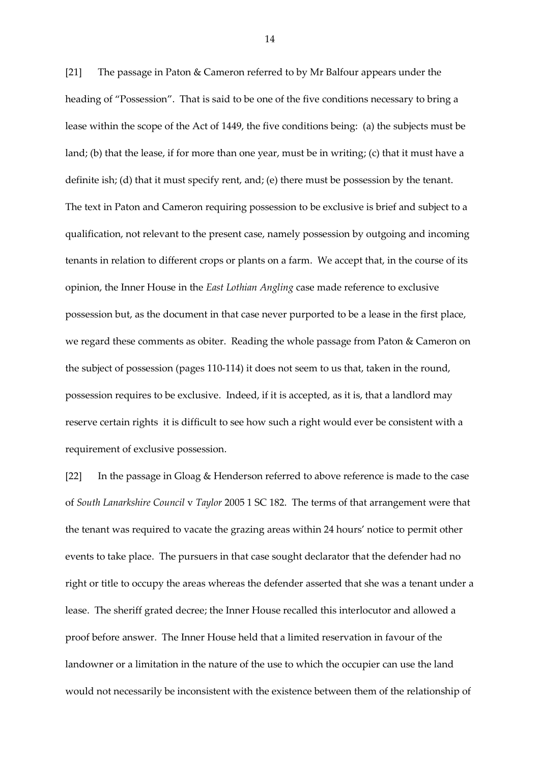[21] The passage in Paton & Cameron referred to by Mr Balfour appears under the heading of "Possession". That is said to be one of the five conditions necessary to bring a lease within the scope of the Act of 1449, the five conditions being: (a) the subjects must be land; (b) that the lease, if for more than one year, must be in writing; (c) that it must have a definite ish; (d) that it must specify rent, and; (e) there must be possession by the tenant. The text in Paton and Cameron requiring possession to be exclusive is brief and subject to a qualification, not relevant to the present case, namely possession by outgoing and incoming tenants in relation to different crops or plants on a farm. We accept that, in the course of its opinion, the Inner House in the *East Lothian Angling* case made reference to exclusive possession but, as the document in that case never purported to be a lease in the first place, we regard these comments as obiter. Reading the whole passage from Paton & Cameron on the subject of possession (pages 110-114) it does not seem to us that, taken in the round, possession requires to be exclusive. Indeed, if it is accepted, as it is, that a landlord may reserve certain rights it is difficult to see how such a right would ever be consistent with a requirement of exclusive possession.

[22] In the passage in Gloag & Henderson referred to above reference is made to the case of *South Lanarkshire Council* v *Taylor* 2005 1 SC 182. The terms of that arrangement were that the tenant was required to vacate the grazing areas within 24 hours' notice to permit other events to take place. The pursuers in that case sought declarator that the defender had no right or title to occupy the areas whereas the defender asserted that she was a tenant under a lease. The sheriff grated decree; the Inner House recalled this interlocutor and allowed a proof before answer. The Inner House held that a limited reservation in favour of the landowner or a limitation in the nature of the use to which the occupier can use the land would not necessarily be inconsistent with the existence between them of the relationship of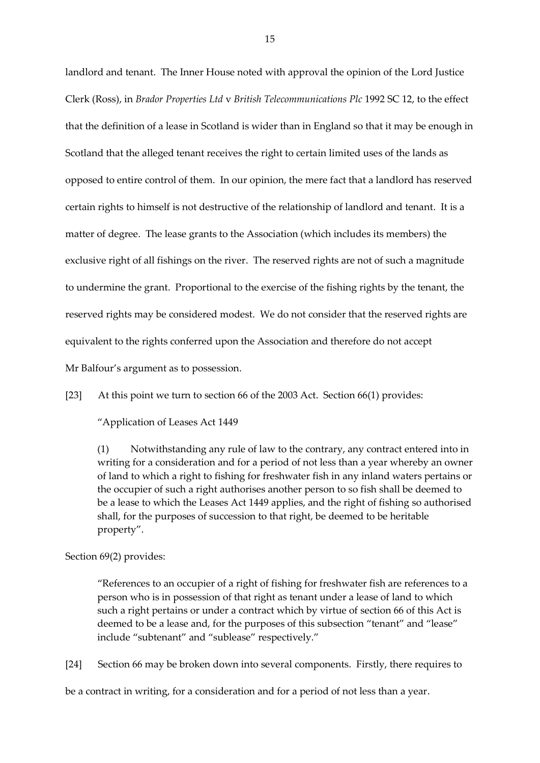landlord and tenant. The Inner House noted with approval the opinion of the Lord Justice Clerk (Ross), in *Brador Properties Ltd* v *British Telecommunications Plc* 1992 SC 12, to the effect that the definition of a lease in Scotland is wider than in England so that it may be enough in Scotland that the alleged tenant receives the right to certain limited uses of the lands as opposed to entire control of them. In our opinion, the mere fact that a landlord has reserved certain rights to himself is not destructive of the relationship of landlord and tenant. It is a matter of degree. The lease grants to the Association (which includes its members) the exclusive right of all fishings on the river. The reserved rights are not of such a magnitude to undermine the grant. Proportional to the exercise of the fishing rights by the tenant, the reserved rights may be considered modest. We do not consider that the reserved rights are equivalent to the rights conferred upon the Association and therefore do not accept Mr Balfour's argument as to possession.

[23] At this point we turn to section 66 of the 2003 Act. Section 66(1) provides:

"Application of Leases Act 1449

(1) Notwithstanding any rule of law to the contrary, any contract entered into in writing for a consideration and for a period of not less than a year whereby an owner of land to which a right to fishing for freshwater fish in any inland waters pertains or the occupier of such a right authorises another person to so fish shall be deemed to be a lease to which the Leases Act 1449 applies, and the right of fishing so authorised shall, for the purposes of succession to that right, be deemed to be heritable property".

Section 69(2) provides:

"References to an occupier of a right of fishing for freshwater fish are references to a person who is in possession of that right as tenant under a lease of land to which such a right pertains or under a contract which by virtue of section 66 of this Act is deemed to be a lease and, for the purposes of this subsection "tenant" and "lease" include "subtenant" and "sublease" respectively."

[24] Section 66 may be broken down into several components. Firstly, there requires to

be a contract in writing, for a consideration and for a period of not less than a year.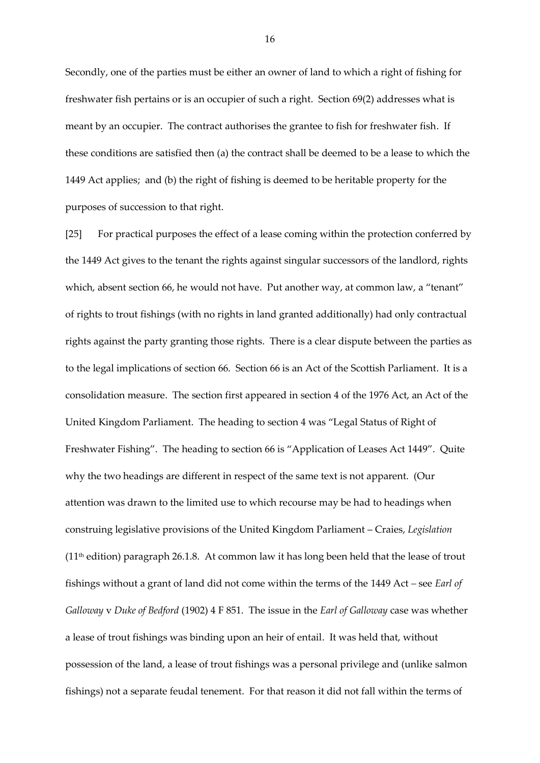Secondly, one of the parties must be either an owner of land to which a right of fishing for freshwater fish pertains or is an occupier of such a right. Section 69(2) addresses what is meant by an occupier. The contract authorises the grantee to fish for freshwater fish. If these conditions are satisfied then (a) the contract shall be deemed to be a lease to which the 1449 Act applies; and (b) the right of fishing is deemed to be heritable property for the purposes of succession to that right.

[25] For practical purposes the effect of a lease coming within the protection conferred by the 1449 Act gives to the tenant the rights against singular successors of the landlord, rights which, absent section 66, he would not have. Put another way, at common law, a "tenant" of rights to trout fishings (with no rights in land granted additionally) had only contractual rights against the party granting those rights. There is a clear dispute between the parties as to the legal implications of section 66. Section 66 is an Act of the Scottish Parliament. It is a consolidation measure. The section first appeared in section 4 of the 1976 Act, an Act of the United Kingdom Parliament. The heading to section 4 was "Legal Status of Right of Freshwater Fishing". The heading to section 66 is "Application of Leases Act 1449". Quite why the two headings are different in respect of the same text is not apparent. (Our attention was drawn to the limited use to which recourse may be had to headings when construing legislative provisions of the United Kingdom Parliament – Craies, *Legislation*  $(11<sup>th</sup>$  edition) paragraph 26.1.8. At common law it has long been held that the lease of trout fishings without a grant of land did not come within the terms of the 1449 Act *–* see *Earl of Galloway* v *Duke of Bedford* (1902) 4 F 851. The issue in the *Earl of Galloway* case was whether a lease of trout fishings was binding upon an heir of entail. It was held that, without possession of the land, a lease of trout fishings was a personal privilege and (unlike salmon fishings) not a separate feudal tenement. For that reason it did not fall within the terms of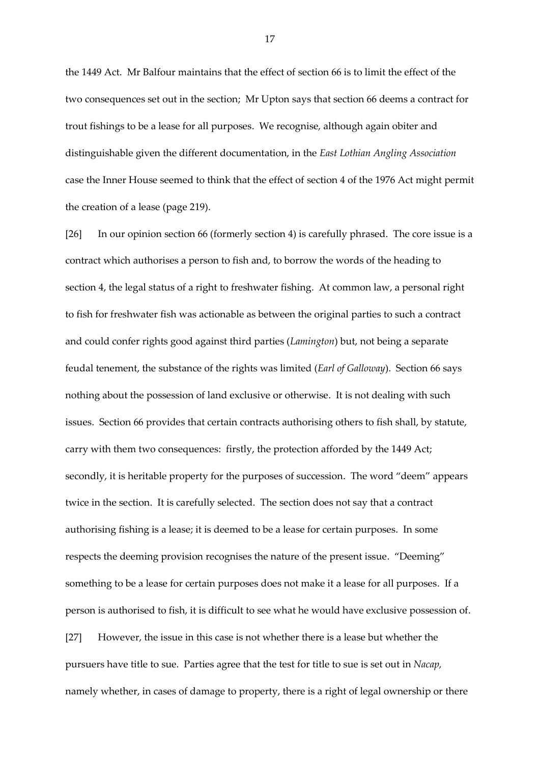the 1449 Act. Mr Balfour maintains that the effect of section 66 is to limit the effect of the two consequences set out in the section; Mr Upton says that section 66 deems a contract for trout fishings to be a lease for all purposes. We recognise, although again obiter and distinguishable given the different documentation, in the *East Lothian Angling Association*  case the Inner House seemed to think that the effect of section 4 of the 1976 Act might permit the creation of a lease (page 219).

[26] In our opinion section 66 (formerly section 4) is carefully phrased. The core issue is a contract which authorises a person to fish and, to borrow the words of the heading to section 4, the legal status of a right to freshwater fishing. At common law, a personal right to fish for freshwater fish was actionable as between the original parties to such a contract and could confer rights good against third parties (*Lamington*) but, not being a separate feudal tenement, the substance of the rights was limited (*Earl of Galloway*). Section 66 says nothing about the possession of land exclusive or otherwise. It is not dealing with such issues. Section 66 provides that certain contracts authorising others to fish shall, by statute, carry with them two consequences: firstly, the protection afforded by the 1449 Act; secondly, it is heritable property for the purposes of succession. The word "deem" appears twice in the section. It is carefully selected. The section does not say that a contract authorising fishing is a lease; it is deemed to be a lease for certain purposes. In some respects the deeming provision recognises the nature of the present issue. "Deeming" something to be a lease for certain purposes does not make it a lease for all purposes. If a person is authorised to fish, it is difficult to see what he would have exclusive possession of. [27] However, the issue in this case is not whether there is a lease but whether the pursuers have title to sue. Parties agree that the test for title to sue is set out in *Nacap,*  namely whether, in cases of damage to property, there is a right of legal ownership or there